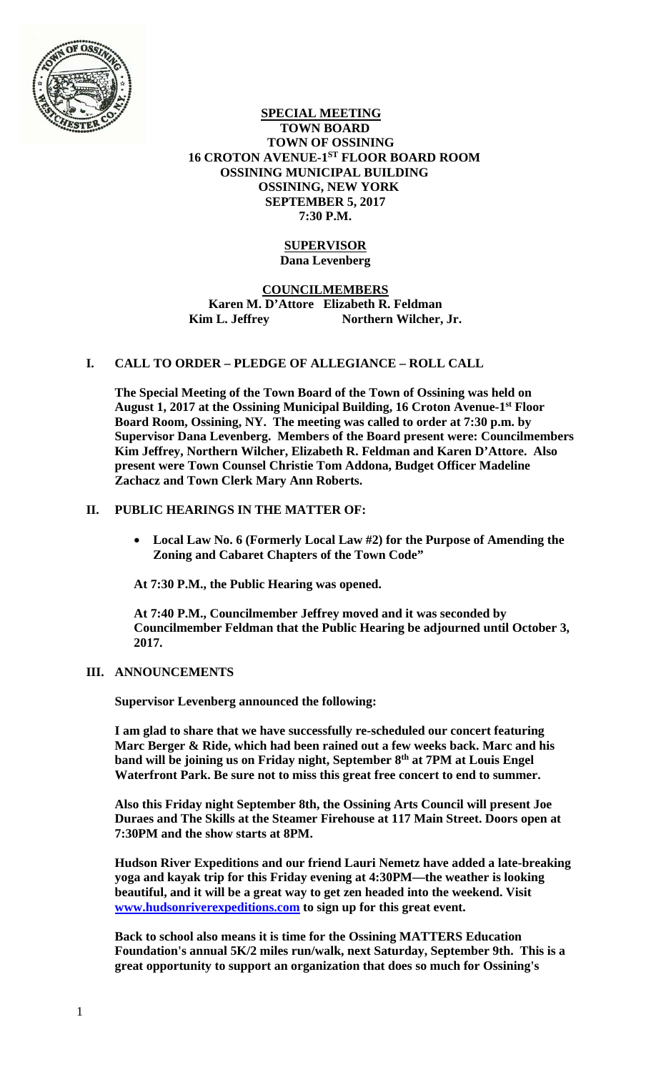

#### **SPECIAL MEETING TOWN BOARD TOWN OF OSSINING 16 CROTON AVENUE-1ST FLOOR BOARD ROOM OSSINING MUNICIPAL BUILDING OSSINING, NEW YORK SEPTEMBER 5, 2017 7:30 P.M.**

## **SUPERVISOR Dana Levenberg**

# **COUNCILMEMBERS Karen M. D'Attore Elizabeth R. Feldman Kim L. Jeffrey Northern Wilcher, Jr.**

# **I. CALL TO ORDER – PLEDGE OF ALLEGIANCE – ROLL CALL**

**The Special Meeting of the Town Board of the Town of Ossining was held on August 1, 2017 at the Ossining Municipal Building, 16 Croton Avenue-1st Floor Board Room, Ossining, NY. The meeting was called to order at 7:30 p.m. by Supervisor Dana Levenberg. Members of the Board present were: Councilmembers Kim Jeffrey, Northern Wilcher, Elizabeth R. Feldman and Karen D'Attore. Also present were Town Counsel Christie Tom Addona, Budget Officer Madeline Zachacz and Town Clerk Mary Ann Roberts.** 

# **II. PUBLIC HEARINGS IN THE MATTER OF:**

 **Local Law No. 6 (Formerly Local Law #2) for the Purpose of Amending the Zoning and Cabaret Chapters of the Town Code"** 

**At 7:30 P.M., the Public Hearing was opened.** 

**At 7:40 P.M., Councilmember Jeffrey moved and it was seconded by Councilmember Feldman that the Public Hearing be adjourned until October 3, 2017.** 

## **III. ANNOUNCEMENTS**

**Supervisor Levenberg announced the following:** 

**I am glad to share that we have successfully re-scheduled our concert featuring Marc Berger & Ride, which had been rained out a few weeks back. Marc and his**  band will be joining us on Friday night, September 8<sup>th</sup> at 7PM at Louis Engel **Waterfront Park. Be sure not to miss this great free concert to end to summer.** 

**Also this Friday night September 8th, the Ossining Arts Council will present Joe Duraes and The Skills at the Steamer Firehouse at 117 Main Street. Doors open at 7:30PM and the show starts at 8PM.** 

**Hudson River Expeditions and our friend Lauri Nemetz have added a late-breaking yoga and kayak trip for this Friday evening at 4:30PM—the weather is looking beautiful, and it will be a great way to get zen headed into the weekend. Visit www.hudsonriverexpeditions.com to sign up for this great event.** 

**Back to school also means it is time for the Ossining MATTERS Education Foundation's annual 5K/2 miles run/walk, next Saturday, September 9th. This is a great opportunity to support an organization that does so much for Ossining's**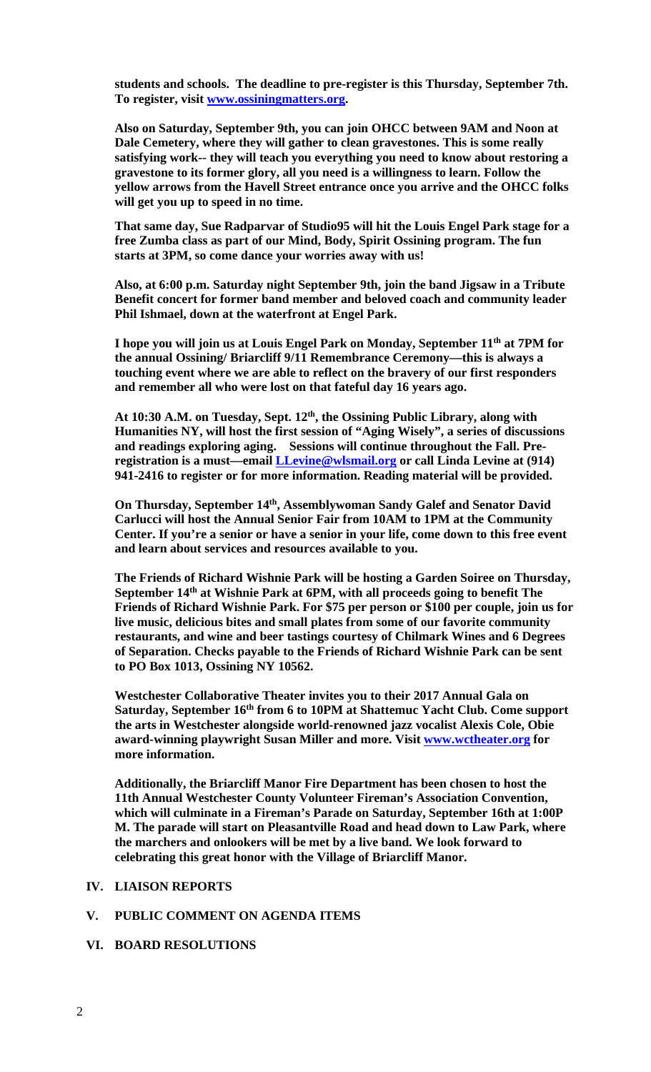**students and schools. The deadline to pre-register is this Thursday, September 7th. To register, visit www.ossiningmatters.org.** 

**Also on Saturday, September 9th, you can join OHCC between 9AM and Noon at Dale Cemetery, where they will gather to clean gravestones. This is some really satisfying work-- they will teach you everything you need to know about restoring a gravestone to its former glory, all you need is a willingness to learn. Follow the yellow arrows from the Havell Street entrance once you arrive and the OHCC folks will get you up to speed in no time.** 

**That same day, Sue Radparvar of Studio95 will hit the Louis Engel Park stage for a free Zumba class as part of our Mind, Body, Spirit Ossining program. The fun starts at 3PM, so come dance your worries away with us!** 

**Also, at 6:00 p.m. Saturday night September 9th, join the band Jigsaw in a Tribute Benefit concert for former band member and beloved coach and community leader Phil Ishmael, down at the waterfront at Engel Park.** 

**I hope you will join us at Louis Engel Park on Monday, September 11th at 7PM for the annual Ossining/ Briarcliff 9/11 Remembrance Ceremony—this is always a touching event where we are able to reflect on the bravery of our first responders and remember all who were lost on that fateful day 16 years ago.** 

At 10:30 A.M. on Tuesday, Sept. 12<sup>th</sup>, the Ossining Public Library, along with **Humanities NY, will host the first session of "Aging Wisely", a series of discussions and readings exploring aging. Sessions will continue throughout the Fall. Preregistration is a must—email LLevine@wlsmail.org or call Linda Levine at (914) 941-2416 to register or for more information. Reading material will be provided.** 

**On Thursday, September 14th, Assemblywoman Sandy Galef and Senator David Carlucci will host the Annual Senior Fair from 10AM to 1PM at the Community Center. If you're a senior or have a senior in your life, come down to this free event and learn about services and resources available to you.** 

**The Friends of Richard Wishnie Park will be hosting a Garden Soiree on Thursday, September 14th at Wishnie Park at 6PM, with all proceeds going to benefit The Friends of Richard Wishnie Park. For \$75 per person or \$100 per couple, join us for live music, delicious bites and small plates from some of our favorite community restaurants, and wine and beer tastings courtesy of Chilmark Wines and 6 Degrees of Separation. Checks payable to the Friends of Richard Wishnie Park can be sent to PO Box 1013, Ossining NY 10562.** 

**Westchester Collaborative Theater invites you to their 2017 Annual Gala on**  Saturday, September 16<sup>th</sup> from 6 to 10PM at Shattemuc Yacht Club. Come support **the arts in Westchester alongside world-renowned jazz vocalist Alexis Cole, Obie award-winning playwright Susan Miller and more. Visit www.wctheater.org for more information.** 

**Additionally, the Briarcliff Manor Fire Department has been chosen to host the 11th Annual Westchester County Volunteer Fireman's Association Convention, which will culminate in a Fireman's Parade on Saturday, September 16th at 1:00P M. The parade will start on Pleasantville Road and head down to Law Park, where the marchers and onlookers will be met by a live band. We look forward to celebrating this great honor with the Village of Briarcliff Manor.** 

#### **IV. LIAISON REPORTS**

#### **V. PUBLIC COMMENT ON AGENDA ITEMS**

**VI. BOARD RESOLUTIONS**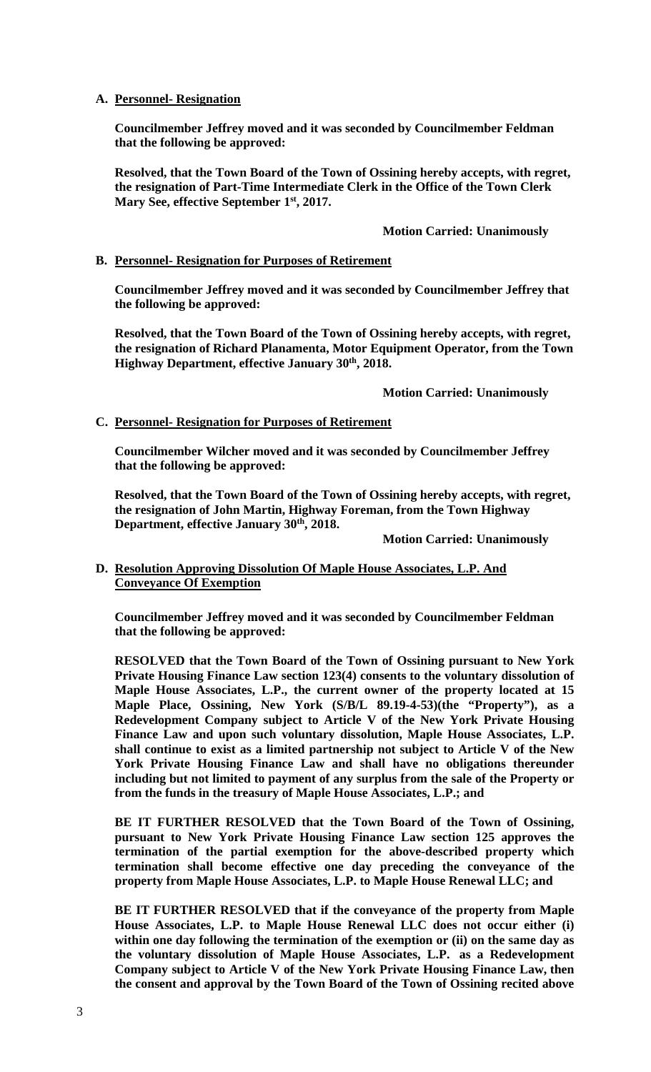## **A. Personnel- Resignation**

**Councilmember Jeffrey moved and it was seconded by Councilmember Feldman that the following be approved:** 

**Resolved, that the Town Board of the Town of Ossining hereby accepts, with regret, the resignation of Part-Time Intermediate Clerk in the Office of the Town Clerk Mary See, effective September 1st, 2017.** 

## **Motion Carried: Unanimously**

# **B. Personnel- Resignation for Purposes of Retirement**

**Councilmember Jeffrey moved and it was seconded by Councilmember Jeffrey that the following be approved:** 

**Resolved, that the Town Board of the Town of Ossining hereby accepts, with regret, the resignation of Richard Planamenta, Motor Equipment Operator, from the Town Highway Department, effective January 30th, 2018.** 

#### **Motion Carried: Unanimously**

## **C. Personnel- Resignation for Purposes of Retirement**

**Councilmember Wilcher moved and it was seconded by Councilmember Jeffrey that the following be approved:** 

**Resolved, that the Town Board of the Town of Ossining hereby accepts, with regret, the resignation of John Martin, Highway Foreman, from the Town Highway Department, effective January 30th, 2018.** 

 **Motion Carried: Unanimously** 

## **D. Resolution Approving Dissolution Of Maple House Associates, L.P. And Conveyance Of Exemption**

**Councilmember Jeffrey moved and it was seconded by Councilmember Feldman that the following be approved:** 

**RESOLVED that the Town Board of the Town of Ossining pursuant to New York Private Housing Finance Law section 123(4) consents to the voluntary dissolution of Maple House Associates, L.P., the current owner of the property located at 15 Maple Place, Ossining, New York (S/B/L 89.19-4-53)(the "Property"), as a Redevelopment Company subject to Article V of the New York Private Housing Finance Law and upon such voluntary dissolution, Maple House Associates, L.P. shall continue to exist as a limited partnership not subject to Article V of the New York Private Housing Finance Law and shall have no obligations thereunder including but not limited to payment of any surplus from the sale of the Property or from the funds in the treasury of Maple House Associates, L.P.; and** 

**BE IT FURTHER RESOLVED that the Town Board of the Town of Ossining, pursuant to New York Private Housing Finance Law section 125 approves the termination of the partial exemption for the above-described property which termination shall become effective one day preceding the conveyance of the property from Maple House Associates, L.P. to Maple House Renewal LLC; and** 

**BE IT FURTHER RESOLVED that if the conveyance of the property from Maple House Associates, L.P. to Maple House Renewal LLC does not occur either (i) within one day following the termination of the exemption or (ii) on the same day as the voluntary dissolution of Maple House Associates, L.P. as a Redevelopment Company subject to Article V of the New York Private Housing Finance Law, then the consent and approval by the Town Board of the Town of Ossining recited above**